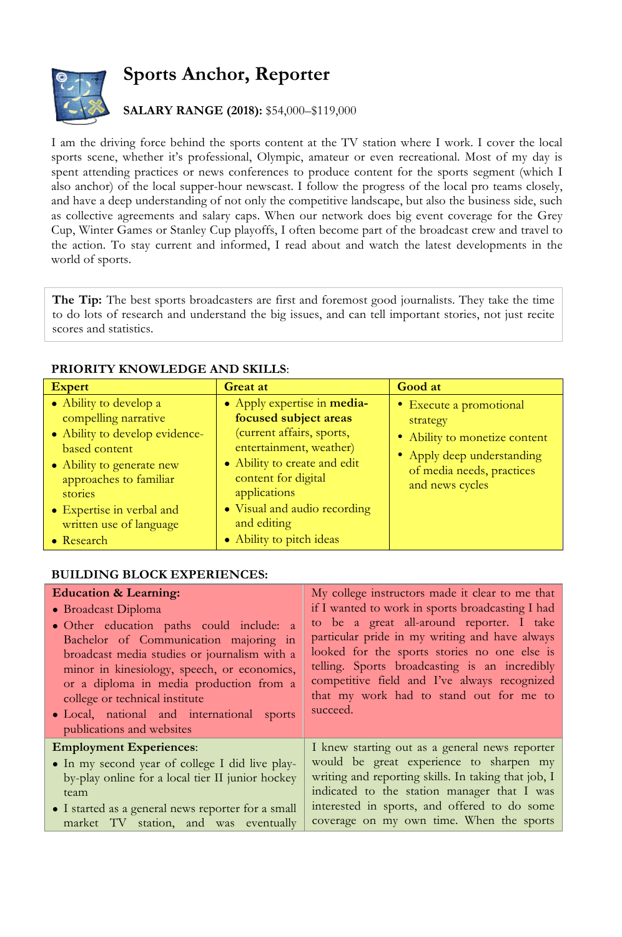## **Sports Anchor, Reporter**



## **SALARY RANGE (2018):** \$54,000–\$119,000

I am the driving force behind the sports content at the TV station where I work. I cover the local sports scene, whether it's professional, Olympic, amateur or even recreational. Most of my day is spent attending practices or news conferences to produce content for the sports segment (which I also anchor) of the local supper-hour newscast. I follow the progress of the local pro teams closely, and have a deep understanding of not only the competitive landscape, but also the business side, such as collective agreements and salary caps. When our network does big event coverage for the Grey Cup, Winter Games or Stanley Cup playoffs, I often become part of the broadcast crew and travel to the action. To stay current and informed, I read about and watch the latest developments in the world of sports.

**The Tip:** The best sports broadcasters are first and foremost good journalists. They take the time to do lots of research and understand the big issues, and can tell important stories, not just recite scores and statistics.

## **PRIORITY KNOWLEDGE AND SKILLS**:

| <b>Expert</b>                                                                                                                                                                                                                             | <b>Great at</b>                                                                                                                                                                                                                                                | Good at                                                                                                                                            |
|-------------------------------------------------------------------------------------------------------------------------------------------------------------------------------------------------------------------------------------------|----------------------------------------------------------------------------------------------------------------------------------------------------------------------------------------------------------------------------------------------------------------|----------------------------------------------------------------------------------------------------------------------------------------------------|
| • Ability to develop a<br>compelling narrative<br>• Ability to develop evidence-<br>based content<br>• Ability to generate new<br>approaches to familiar<br>stories<br>• Expertise in verbal and<br>written use of language<br>• Research | • Apply expertise in media-<br>focused subject areas<br>(current affairs, sports,<br>entertainment, weather)<br>• Ability to create and edit<br>content for digital<br>applications<br>• Visual and audio recording<br>and editing<br>• Ability to pitch ideas | • Execute a promotional<br>strategy<br>• Ability to monetize content<br>• Apply deep understanding<br>of media needs, practices<br>and news cycles |

## **BUILDING BLOCK EXPERIENCES:**

| <b>Education &amp; Learning:</b>                                        | My college instructors made it clear to me that     |
|-------------------------------------------------------------------------|-----------------------------------------------------|
| • Broadcast Diploma                                                     | if I wanted to work in sports broadcasting I had    |
| • Other education paths could include: a                                | to be a great all-around reporter. I take           |
| Bachelor of Communication majoring in                                   | particular pride in my writing and have always      |
| broadcast media studies or journalism with a                            | looked for the sports stories no one else is        |
| minor in kinesiology, speech, or economics,                             | telling. Sports broadcasting is an incredibly       |
| or a diploma in media production from a                                 | competitive field and I've always recognized        |
| college or technical institute                                          | that my work had to stand out for me to             |
| • Local, national and international sports<br>publications and websites | succeed.                                            |
| <b>Employment Experiences:</b>                                          | I knew starting out as a general news reporter      |
| • In my second year of college I did live play-                         | would be great experience to sharpen my             |
| by-play online for a local tier II junior hockey                        | writing and reporting skills. In taking that job, I |
| team                                                                    | indicated to the station manager that I was         |
| • I started as a general news reporter for a small                      | interested in sports, and offered to do some        |
| market TV station, and was eventually                                   | coverage on my own time. When the sports            |